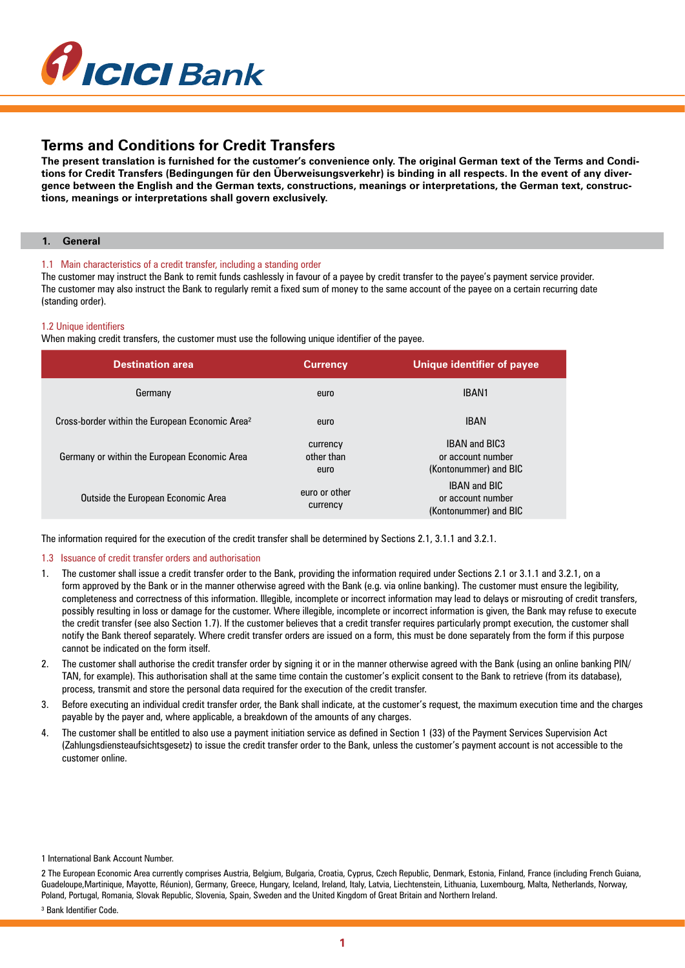

## **Terms and Conditions for Credit Transfers**

**The present translation is furnished for the customer's convenience only. The original German text of the Terms and Conditions for Credit Transfers (Bedingungen für den Überweisungsverkehr) is binding in all respects. In the event of any divergence between the English and the German texts, constructions, meanings or interpretations, the German text, constructions, meanings or interpretations shall govern exclusively.**

### **1. General**

## 1.1 Main characteristics of a credit transfer, including a standing order

The customer may instruct the Bank to remit funds cashlessly in favour of a payee by credit transfer to the payee's payment service provider. The customer may also instruct the Bank to regularly remit a fixed sum of money to the same account of the payee on a certain recurring date (standing order).

#### 1.2 Unique identifiers

When making credit transfers, the customer must use the following unique identifier of the payee.

| <b>Destination area</b>                                     | <b>Currency</b>                | Unique identifier of payee                                         |  |
|-------------------------------------------------------------|--------------------------------|--------------------------------------------------------------------|--|
| Germany                                                     | euro                           | IBAN1                                                              |  |
| Cross-border within the European Economic Area <sup>2</sup> | euro                           | <b>IBAN</b>                                                        |  |
| Germany or within the European Economic Area                | currency<br>other than<br>euro | <b>IBAN and BIC3</b><br>or account number<br>(Kontonummer) and BIC |  |
| Outside the European Economic Area                          | euro or other<br>currency      | <b>IBAN and BIC</b><br>or account number<br>(Kontonummer) and BIC  |  |

The information required for the execution of the credit transfer shall be determined by Sections 2.1, 3.1.1 and 3.2.1.

#### 1.3 Issuance of credit transfer orders and authorisation

- 1. The customer shall issue a credit transfer order to the Bank, providing the information required under Sections 2.1 or 3.1.1 and 3.2.1, on a form approved by the Bank or in the manner otherwise agreed with the Bank (e.g. via online banking). The customer must ensure the legibility, completeness and correctness of this information. Illegible, incomplete or incorrect information may lead to delays or misrouting of credit transfers, possibly resulting in loss or damage for the customer. Where illegible, incomplete or incorrect information is given, the Bank may refuse to execute the credit transfer (see also Section 1.7). If the customer believes that a credit transfer requires particularly prompt execution, the customer shall notify the Bank thereof separately. Where credit transfer orders are issued on a form, this must be done separately from the form if this purpose cannot be indicated on the form itself.
- 2. The customer shall authorise the credit transfer order by signing it or in the manner otherwise agreed with the Bank (using an online banking PIN/ TAN, for example). This authorisation shall at the same time contain the customer's explicit consent to the Bank to retrieve (from its database), process, transmit and store the personal data required for the execution of the credit transfer.
- 3. Before executing an individual credit transfer order, the Bank shall indicate, at the customer's request, the maximum execution time and the charges payable by the payer and, where applicable, a breakdown of the amounts of any charges.
- 4. The customer shall be entitled to also use a payment initiation service as defined in Section 1 (33) of the Payment Services Supervision Act (Zahlungsdiensteaufsichtsgesetz) to issue the credit transfer order to the Bank, unless the customer's payment account is not accessible to the customer online.

1 International Bank Account Number.

<sup>2</sup> The European Economic Area currently comprises Austria, Belgium, Bulgaria, Croatia, Cyprus, Czech Republic, Denmark, Estonia, Finland, France (including French Guiana, Guadeloupe,Martinique, Mayotte, Réunion), Germany, Greece, Hungary, Iceland, Ireland, Italy, Latvia, Liechtenstein, Lithuania, Luxembourg, Malta, Netherlands, Norway, Poland, Portugal, Romania, Slovak Republic, Slovenia, Spain, Sweden and the United Kingdom of Great Britain and Northern Ireland. <sup>3</sup> Bank Identifier Code.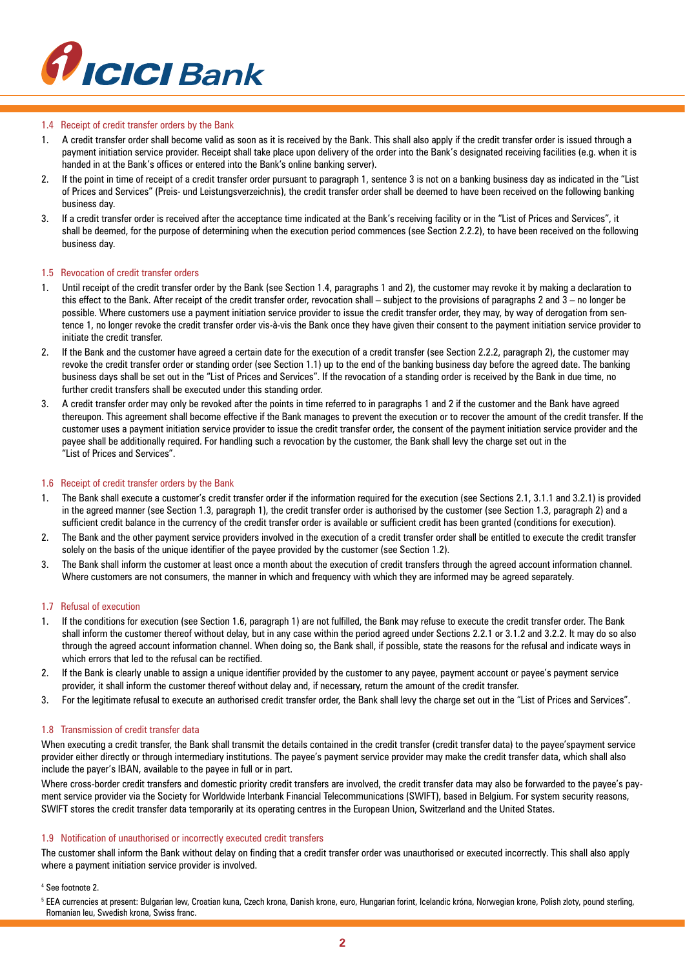

## 1.4 Receipt of credit transfer orders by the Bank

- 1. A credit transfer order shall become valid as soon as it is received by the Bank. This shall also apply if the credit transfer order is issued through a payment initiation service provider. Receipt shall take place upon delivery of the order into the Bank's designated receiving facilities (e.g. when it is handed in at the Bank's offices or entered into the Bank's online banking server).
- 2. If the point in time of receipt of a credit transfer order pursuant to paragraph 1, sentence 3 is not on a banking business day as indicated in the "List of Prices and Services" (Preis- und Leistungsverzeichnis), the credit transfer order shall be deemed to have been received on the following banking business day.
- 3. If a credit transfer order is received after the acceptance time indicated at the Bank's receiving facility or in the "List of Prices and Services", it shall be deemed, for the purpose of determining when the execution period commences (see Section 2.2.2), to have been received on the following business day.

#### 1.5 Revocation of credit transfer orders

- 1. Until receipt of the credit transfer order by the Bank (see Section 1.4, paragraphs 1 and 2), the customer may revoke it by making a declaration to this effect to the Bank. After receipt of the credit transfer order, revocation shall – subject to the provisions of paragraphs 2 and 3 – no longer be possible. Where customers use a payment initiation service provider to issue the credit transfer order, they may, by way of derogation from sentence 1, no longer revoke the credit transfer order vis-à-vis the Bank once they have given their consent to the payment initiation service provider to initiate the credit transfer.
- 2. If the Bank and the customer have agreed a certain date for the execution of a credit transfer (see Section 2.2.2, paragraph 2), the customer may revoke the credit transfer order or standing order (see Section 1.1) up to the end of the banking business day before the agreed date. The banking business days shall be set out in the "List of Prices and Services". If the revocation of a standing order is received by the Bank in due time, no further credit transfers shall be executed under this standing order.
- 3. A credit transfer order may only be revoked after the points in time referred to in paragraphs 1 and 2 if the customer and the Bank have agreed thereupon. This agreement shall become effective if the Bank manages to prevent the execution or to recover the amount of the credit transfer. If the customer uses a payment initiation service provider to issue the credit transfer order, the consent of the payment initiation service provider and the payee shall be additionally required. For handling such a revocation by the customer, the Bank shall levy the charge set out in the "List of Prices and Services".

#### 1.6 Receipt of credit transfer orders by the Bank

- 1. The Bank shall execute a customer's credit transfer order if the information required for the execution (see Sections 2.1, 3.1.1 and 3.2.1) is provided in the agreed manner (see Section 1.3, paragraph 1), the credit transfer order is authorised by the customer (see Section 1.3, paragraph 2) and a sufficient credit balance in the currency of the credit transfer order is available or sufficient credit has been granted (conditions for execution).
- 2. The Bank and the other payment service providers involved in the execution of a credit transfer order shall be entitled to execute the credit transfer solely on the basis of the unique identifier of the payee provided by the customer (see Section 1.2).
- 3. The Bank shall inform the customer at least once a month about the execution of credit transfers through the agreed account information channel. Where customers are not consumers, the manner in which and frequency with which they are informed may be agreed separately.

#### 1.7 Refusal of execution

- 1. If the conditions for execution (see Section 1.6, paragraph 1) are not fulfilled, the Bank may refuse to execute the credit transfer order. The Bank shall inform the customer thereof without delay, but in any case within the period agreed under Sections 2.2.1 or 3.1.2 and 3.2.2. It may do so also through the agreed account information channel. When doing so, the Bank shall, if possible, state the reasons for the refusal and indicate ways in which errors that led to the refusal can be rectified.
- 2. If the Bank is clearly unable to assign a unique identifier provided by the customer to any payee, payment account or payee's payment service provider, it shall inform the customer thereof without delay and, if necessary, return the amount of the credit transfer.
- 3. For the legitimate refusal to execute an authorised credit transfer order, the Bank shall levy the charge set out in the "List of Prices and Services".

#### 1.8 Transmission of credit transfer data

When executing a credit transfer, the Bank shall transmit the details contained in the credit transfer (credit transfer data) to the payee'spayment service provider either directly or through intermediary institutions. The payee's payment service provider may make the credit transfer data, which shall also include the payer's IBAN, available to the payee in full or in part.

Where cross-border credit transfers and domestic priority credit transfers are involved, the credit transfer data may also be forwarded to the payee's payment service provider via the Society for Worldwide Interbank Financial Telecommunications (SWIFT), based in Belgium. For system security reasons, SWIFT stores the credit transfer data temporarily at its operating centres in the European Union, Switzerland and the United States.

#### 1.9 Notification of unauthorised or incorrectly executed credit transfers

The customer shall inform the Bank without delay on finding that a credit transfer order was unauthorised or executed incorrectly. This shall also apply where a payment initiation service provider is involved.

4 See footnote 2.

<sup>5</sup> EEA currencies at present: Bulgarian lew, Croatian kuna, Czech krona, Danish krone, euro, Hungarian forint, Icelandic króna, Norwegian krone, Polish zloty, pound sterling, Romanian leu, Swedish krona, Swiss franc.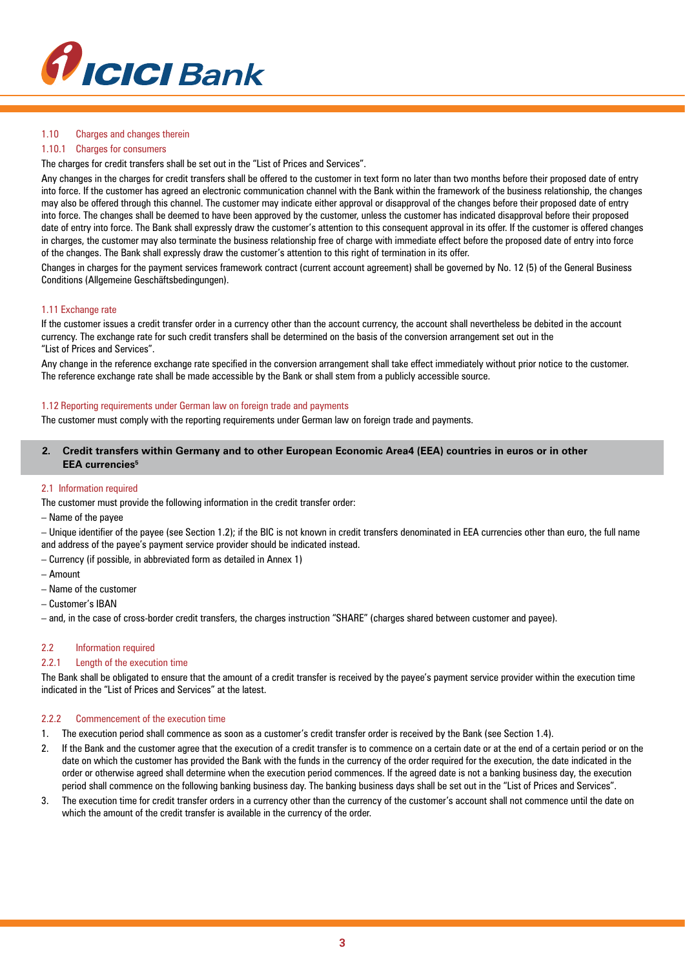

## 1.10 Charges and changes therein

## 1.10.1 Charges for consumers

The charges for credit transfers shall be set out in the "List of Prices and Services".

Any changes in the charges for credit transfers shall be offered to the customer in text form no later than two months before their proposed date of entry into force. If the customer has agreed an electronic communication channel with the Bank within the framework of the business relationship, the changes may also be offered through this channel. The customer may indicate either approval or disapproval of the changes before their proposed date of entry into force. The changes shall be deemed to have been approved by the customer, unless the customer has indicated disapproval before their proposed date of entry into force. The Bank shall expressly draw the customer's attention to this consequent approval in its offer. If the customer is offered changes in charges, the customer may also terminate the business relationship free of charge with immediate effect before the proposed date of entry into force of the changes. The Bank shall expressly draw the customer's attention to this right of termination in its offer.

Changes in charges for the payment services framework contract (current account agreement) shall be governed by No. 12 (5) of the General Business Conditions (Allgemeine Geschäftsbedingungen).

## 1.11 Exchange rate

If the customer issues a credit transfer order in a currency other than the account currency, the account shall nevertheless be debited in the account currency. The exchange rate for such credit transfers shall be determined on the basis of the conversion arrangement set out in the "List of Prices and Services".

Any change in the reference exchange rate specified in the conversion arrangement shall take effect immediately without prior notice to the customer. The reference exchange rate shall be made accessible by the Bank or shall stem from a publicly accessible source.

## 1.12 Reporting requirements under German law on foreign trade and payments

The customer must comply with the reporting requirements under German law on foreign trade and payments.

## **2. Credit transfers within Germany and to other European Economic Area4 (EEA) countries in euros or in other EEA currencies5**

## 2.1 Information required

The customer must provide the following information in the credit transfer order:

– Name of the payee

– Unique identifier of the payee (see Section 1.2); if the BIC is not known in credit transfers denominated in EEA currencies other than euro, the full name and address of the payee's payment service provider should be indicated instead.

– Currency (if possible, in abbreviated form as detailed in Annex 1)

- Amount
- Name of the customer
- Customer's IBAN

– and, in the case of cross-border credit transfers, the charges instruction "SHARE" (charges shared between customer and payee).

#### 2.2 Information required

## 2.2.1 Length of the execution time

The Bank shall be obligated to ensure that the amount of a credit transfer is received by the payee's payment service provider within the execution time indicated in the "List of Prices and Services" at the latest.

#### 2.2.2 Commencement of the execution time

- 1. The execution period shall commence as soon as a customer's credit transfer order is received by the Bank (see Section 1.4).
- 2. If the Bank and the customer agree that the execution of a credit transfer is to commence on a certain date or at the end of a certain period or on the date on which the customer has provided the Bank with the funds in the currency of the order required for the execution, the date indicated in the order or otherwise agreed shall determine when the execution period commences. If the agreed date is not a banking business day, the execution period shall commence on the following banking business day. The banking business days shall be set out in the "List of Prices and Services".
- 3. The execution time for credit transfer orders in a currency other than the currency of the customer's account shall not commence until the date on which the amount of the credit transfer is available in the currency of the order.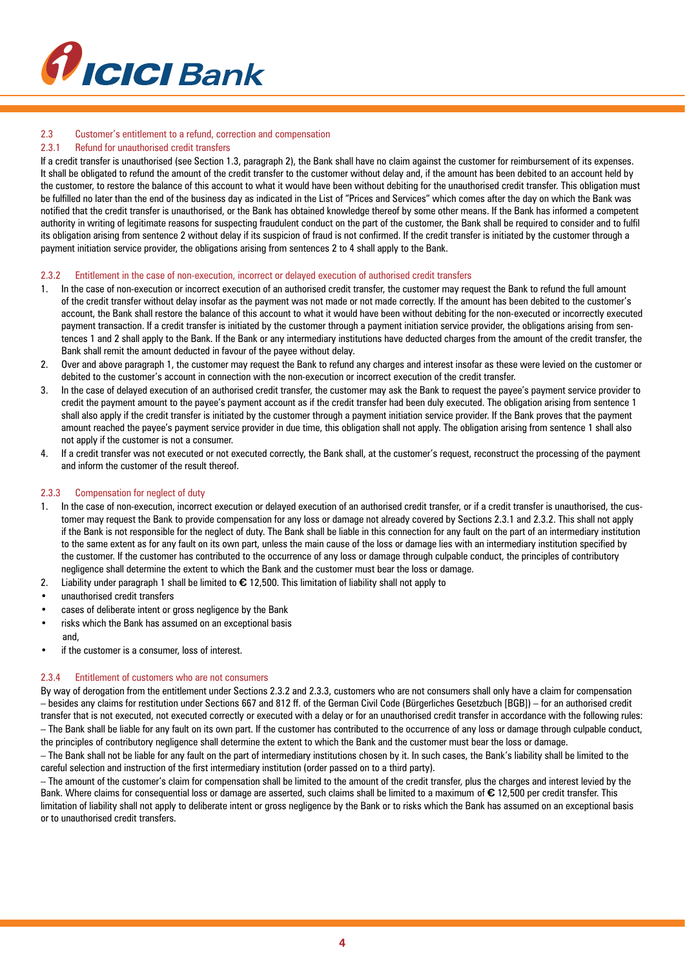

## 2.3 Customer's entitlement to a refund, correction and compensation

## 2.3.1 Refund for unauthorised credit transfers

If a credit transfer is unauthorised (see Section 1.3, paragraph 2), the Bank shall have no claim against the customer for reimbursement of its expenses. It shall be obligated to refund the amount of the credit transfer to the customer without delay and, if the amount has been debited to an account held by the customer, to restore the balance of this account to what it would have been without debiting for the unauthorised credit transfer. This obligation must be fulfilled no later than the end of the business day as indicated in the List of "Prices and Services" which comes after the day on which the Bank was notified that the credit transfer is unauthorised, or the Bank has obtained knowledge thereof by some other means. If the Bank has informed a competent authority in writing of legitimate reasons for suspecting fraudulent conduct on the part of the customer, the Bank shall be required to consider and to fulfil its obligation arising from sentence 2 without delay if its suspicion of fraud is not confirmed. If the credit transfer is initiated by the customer through a payment initiation service provider, the obligations arising from sentences 2 to 4 shall apply to the Bank.

#### 2.3.2 Entitlement in the case of non-execution, incorrect or delayed execution of authorised credit transfers

- 1. In the case of non-execution or incorrect execution of an authorised credit transfer, the customer may request the Bank to refund the full amount of the credit transfer without delay insofar as the payment was not made or not made correctly. If the amount has been debited to the customer's account, the Bank shall restore the balance of this account to what it would have been without debiting for the non-executed or incorrectly executed payment transaction. If a credit transfer is initiated by the customer through a payment initiation service provider, the obligations arising from sentences 1 and 2 shall apply to the Bank. If the Bank or any intermediary institutions have deducted charges from the amount of the credit transfer, the Bank shall remit the amount deducted in favour of the payee without delay.
- 2. Over and above paragraph 1, the customer may request the Bank to refund any charges and interest insofar as these were levied on the customer or debited to the customer's account in connection with the non-execution or incorrect execution of the credit transfer.
- 3. In the case of delayed execution of an authorised credit transfer, the customer may ask the Bank to request the payee's payment service provider to credit the payment amount to the payee's payment account as if the credit transfer had been duly executed. The obligation arising from sentence 1 shall also apply if the credit transfer is initiated by the customer through a payment initiation service provider. If the Bank proves that the payment amount reached the payee's payment service provider in due time, this obligation shall not apply. The obligation arising from sentence 1 shall also not apply if the customer is not a consumer.
- 4. If a credit transfer was not executed or not executed correctly, the Bank shall, at the customer's request, reconstruct the processing of the payment and inform the customer of the result thereof.

## 2.3.3 Compensation for neglect of duty

- 1. In the case of non-execution, incorrect execution or delayed execution of an authorised credit transfer, or if a credit transfer is unauthorised, the customer may request the Bank to provide compensation for any loss or damage not already covered by Sections 2.3.1 and 2.3.2. This shall not apply if the Bank is not responsible for the neglect of duty. The Bank shall be liable in this connection for any fault on the part of an intermediary institution to the same extent as for any fault on its own part, unless the main cause of the loss or damage lies with an intermediary institution specified by the customer. If the customer has contributed to the occurrence of any loss or damage through culpable conduct, the principles of contributory negligence shall determine the extent to which the Bank and the customer must bear the loss or damage.
- 2. Liability under paragraph 1 shall be limited to **€** 12,500. This limitation of liability shall not apply to
- unauthorised credit transfers
- cases of deliberate intent or gross negligence by the Bank
- risks which the Bank has assumed on an exceptional basis and,
- if the customer is a consumer, loss of interest.

#### 2.3.4 Entitlement of customers who are not consumers

By way of derogation from the entitlement under Sections 2.3.2 and 2.3.3, customers who are not consumers shall only have a claim for compensation – besides any claims for restitution under Sections 667 and 812 ff. of the German Civil Code (Bürgerliches Gesetzbuch [BGB]) – for an authorised credit transfer that is not executed, not executed correctly or executed with a delay or for an unauthorised credit transfer in accordance with the following rules: – The Bank shall be liable for any fault on its own part. If the customer has contributed to the occurrence of any loss or damage through culpable conduct, the principles of contributory negligence shall determine the extent to which the Bank and the customer must bear the loss or damage.

– The Bank shall not be liable for any fault on the part of intermediary institutions chosen by it. In such cases, the Bank's liability shall be limited to the careful selection and instruction of the first intermediary institution (order passed on to a third party).

– The amount of the customer's claim for compensation shall be limited to the amount of the credit transfer, plus the charges and interest levied by the Bank. Where claims for consequential loss or damage are asserted, such claims shall be limited to a maximum of **€** 12,500 per credit transfer. This limitation of liability shall not apply to deliberate intent or gross negligence by the Bank or to risks which the Bank has assumed on an exceptional basis or to unauthorised credit transfers.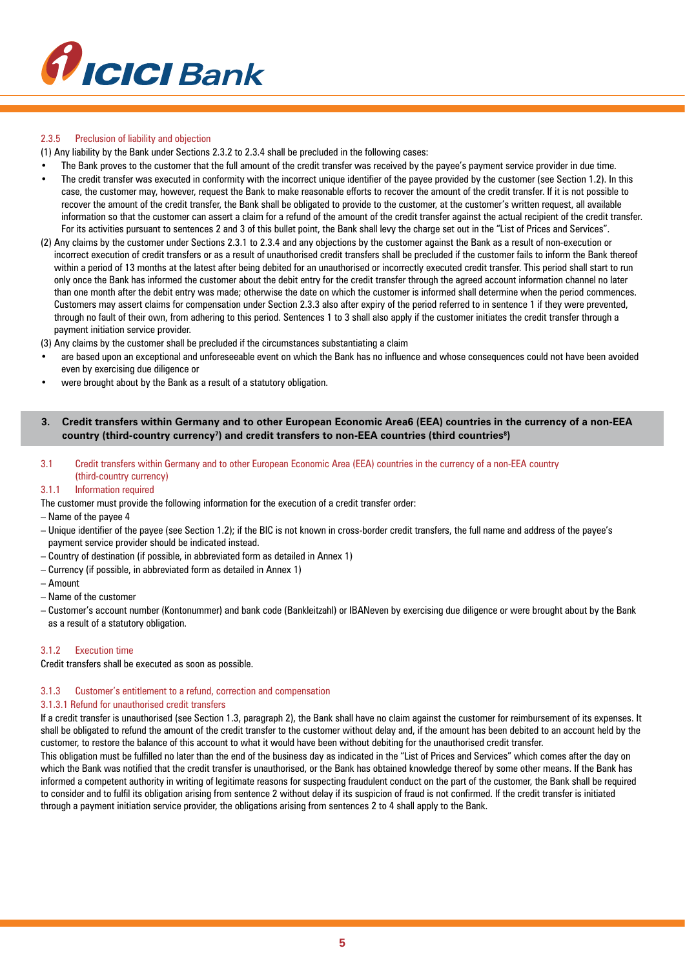

## 2.3.5 Preclusion of liability and objection

(1) Any liability by the Bank under Sections 2.3.2 to 2.3.4 shall be precluded in the following cases:

- The Bank proves to the customer that the full amount of the credit transfer was received by the payee's payment service provider in due time.
- The credit transfer was executed in conformity with the incorrect unique identifier of the payee provided by the customer (see Section 1.2). In this case, the customer may, however, request the Bank to make reasonable efforts to recover the amount of the credit transfer. If it is not possible to recover the amount of the credit transfer, the Bank shall be obligated to provide to the customer, at the customer's written request, all available information so that the customer can assert a claim for a refund of the amount of the credit transfer against the actual recipient of the credit transfer. For its activities pursuant to sentences 2 and 3 of this bullet point, the Bank shall levy the charge set out in the "List of Prices and Services".
- (2) Any claims by the customer under Sections 2.3.1 to 2.3.4 and any objections by the customer against the Bank as a result of non-execution or incorrect execution of credit transfers or as a result of unauthorised credit transfers shall be precluded if the customer fails to inform the Bank thereof within a period of 13 months at the latest after being debited for an unauthorised or incorrectly executed credit transfer. This period shall start to run only once the Bank has informed the customer about the debit entry for the credit transfer through the agreed account information channel no later than one month after the debit entry was made; otherwise the date on which the customer is informed shall determine when the period commences. Customers may assert claims for compensation under Section 2.3.3 also after expiry of the period referred to in sentence 1 if they were prevented, through no fault of their own, from adhering to this period. Sentences 1 to 3 shall also apply if the customer initiates the credit transfer through a payment initiation service provider.

(3) Any claims by the customer shall be precluded if the circumstances substantiating a claim

- are based upon an exceptional and unforeseeable event on which the Bank has no influence and whose consequences could not have been avoided even by exercising due diligence or
- were brought about by the Bank as a result of a statutory obligation.

## **3. Credit transfers within Germany and to other European Economic Area6 (EEA) countries in the currency of a non-EEA country (third-country currency7 ) and credit transfers to non-EEA countries (third countries8 )**

3.1 Credit transfers within Germany and to other European Economic Area (EEA) countries in the currency of a non-EEA country (third-country currency)

## 3.1.1 Information required

The customer must provide the following information for the execution of a credit transfer order:

## – Name of the payee 4

- Unique identifier of the payee (see Section 1.2); if the BIC is not known in cross-border credit transfers, the full name and address of the payee's payment service provider should be indicated instead.
- Country of destination (if possible, in abbreviated form as detailed in Annex 1)
- Currency (if possible, in abbreviated form as detailed in Annex 1)
- Amount
- Name of the customer
- Customer's account number (Kontonummer) and bank code (Bankleitzahl) or IBANeven by exercising due diligence or were brought about by the Bank as a result of a statutory obligation.

## 3.1.2 Execution time

Credit transfers shall be executed as soon as possible.

#### 3.1.3 Customer's entitlement to a refund, correction and compensation

## 3.1.3.1 Refund for unauthorised credit transfers

If a credit transfer is unauthorised (see Section 1.3, paragraph 2), the Bank shall have no claim against the customer for reimbursement of its expenses. It shall be obligated to refund the amount of the credit transfer to the customer without delay and, if the amount has been debited to an account held by the customer, to restore the balance of this account to what it would have been without debiting for the unauthorised credit transfer.

This obligation must be fulfilled no later than the end of the business day as indicated in the "List of Prices and Services" which comes after the day on which the Bank was notified that the credit transfer is unauthorised, or the Bank has obtained knowledge thereof by some other means. If the Bank has informed a competent authority in writing of legitimate reasons for suspecting fraudulent conduct on the part of the customer, the Bank shall be required to consider and to fulfil its obligation arising from sentence 2 without delay if its suspicion of fraud is not confirmed. If the credit transfer is initiated through a payment initiation service provider, the obligations arising from sentences 2 to 4 shall apply to the Bank.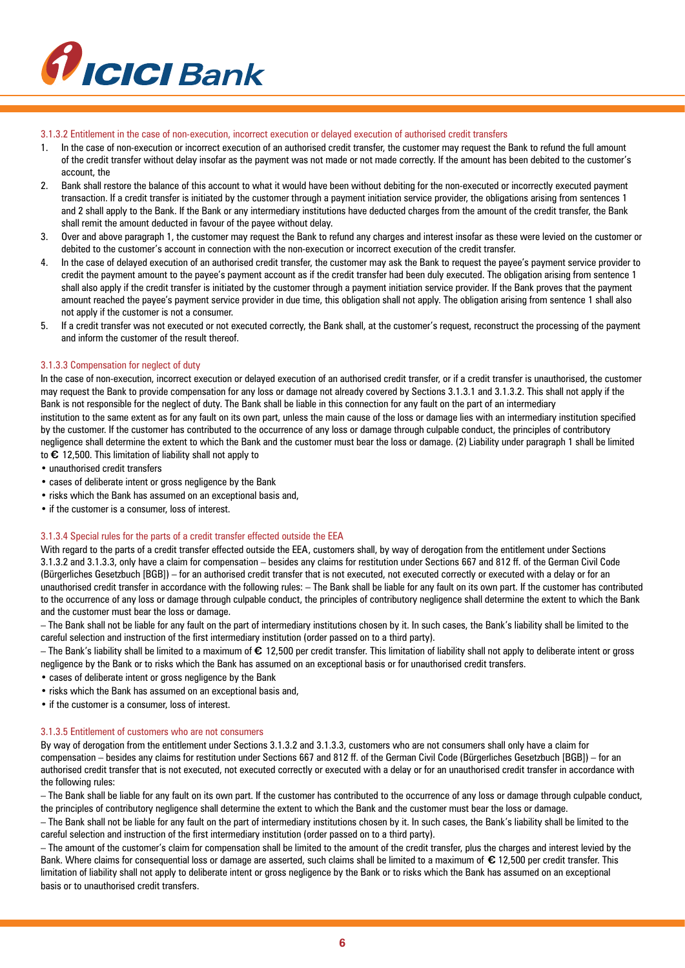

#### 3.1.3.2 Entitlement in the case of non-execution, incorrect execution or delayed execution of authorised credit transfers

- 1. In the case of non-execution or incorrect execution of an authorised credit transfer, the customer may request the Bank to refund the full amount of the credit transfer without delay insofar as the payment was not made or not made correctly. If the amount has been debited to the customer's account, the
- 2. Bank shall restore the balance of this account to what it would have been without debiting for the non-executed or incorrectly executed payment transaction. If a credit transfer is initiated by the customer through a payment initiation service provider, the obligations arising from sentences 1 and 2 shall apply to the Bank. If the Bank or any intermediary institutions have deducted charges from the amount of the credit transfer, the Bank shall remit the amount deducted in favour of the payee without delay.
- 3. Over and above paragraph 1, the customer may request the Bank to refund any charges and interest insofar as these were levied on the customer or debited to the customer's account in connection with the non-execution or incorrect execution of the credit transfer.
- 4. In the case of delayed execution of an authorised credit transfer, the customer may ask the Bank to request the payee's payment service provider to credit the payment amount to the payee's payment account as if the credit transfer had been duly executed. The obligation arising from sentence 1 shall also apply if the credit transfer is initiated by the customer through a payment initiation service provider. If the Bank proves that the payment amount reached the payee's payment service provider in due time, this obligation shall not apply. The obligation arising from sentence 1 shall also not apply if the customer is not a consumer.
- 5. If a credit transfer was not executed or not executed correctly, the Bank shall, at the customer's request, reconstruct the processing of the payment and inform the customer of the result thereof.

#### 3.1.3.3 Compensation for neglect of duty

In the case of non-execution, incorrect execution or delayed execution of an authorised credit transfer, or if a credit transfer is unauthorised, the customer may request the Bank to provide compensation for any loss or damage not already covered by Sections 3.1.3.1 and 3.1.3.2. This shall not apply if the Bank is not responsible for the neglect of duty. The Bank shall be liable in this connection for any fault on the part of an intermediary institution to the same extent as for any fault on its own part, unless the main cause of the loss or damage lies with an intermediary institution specified by the customer. If the customer has contributed to the occurrence of any loss or damage through culpable conduct, the principles of contributory negligence shall determine the extent to which the Bank and the customer must bear the loss or damage. (2) Liability under paragraph 1 shall be limited to **€** 12,500. This limitation of liability shall not apply to

- unauthorised credit transfers
- cases of deliberate intent or gross negligence by the Bank
- risks which the Bank has assumed on an exceptional basis and,
- if the customer is a consumer, loss of interest.

#### 3.1.3.4 Special rules for the parts of a credit transfer effected outside the EEA

With regard to the parts of a credit transfer effected outside the EEA, customers shall, by way of derogation from the entitlement under Sections 3.1.3.2 and 3.1.3.3, only have a claim for compensation – besides any claims for restitution under Sections 667 and 812 ff. of the German Civil Code (Bürgerliches Gesetzbuch [BGB]) – for an authorised credit transfer that is not executed, not executed correctly or executed with a delay or for an unauthorised credit transfer in accordance with the following rules: – The Bank shall be liable for any fault on its own part. If the customer has contributed to the occurrence of any loss or damage through culpable conduct, the principles of contributory negligence shall determine the extent to which the Bank and the customer must bear the loss or damage.

– The Bank shall not be liable for any fault on the part of intermediary institutions chosen by it. In such cases, the Bank's liability shall be limited to the careful selection and instruction of the first intermediary institution (order passed on to a third party).

– The Bank's liability shall be limited to a maximum of **€** 12,500 per credit transfer. This limitation of liability shall not apply to deliberate intent or gross negligence by the Bank or to risks which the Bank has assumed on an exceptional basis or for unauthorised credit transfers.

- cases of deliberate intent or gross negligence by the Bank
- risks which the Bank has assumed on an exceptional basis and,
- if the customer is a consumer, loss of interest.

#### 3.1.3.5 Entitlement of customers who are not consumers

By way of derogation from the entitlement under Sections 3.1.3.2 and 3.1.3.3, customers who are not consumers shall only have a claim for compensation – besides any claims for restitution under Sections 667 and 812 ff. of the German Civil Code (Bürgerliches Gesetzbuch [BGB]) – for an authorised credit transfer that is not executed, not executed correctly or executed with a delay or for an unauthorised credit transfer in accordance with the following rules:

– The Bank shall be liable for any fault on its own part. If the customer has contributed to the occurrence of any loss or damage through culpable conduct, the principles of contributory negligence shall determine the extent to which the Bank and the customer must bear the loss or damage.

– The Bank shall not be liable for any fault on the part of intermediary institutions chosen by it. In such cases, the Bank's liability shall be limited to the careful selection and instruction of the first intermediary institution (order passed on to a third party).

– The amount of the customer's claim for compensation shall be limited to the amount of the credit transfer, plus the charges and interest levied by the Bank. Where claims for consequential loss or damage are asserted, such claims shall be limited to a maximum of **€** 12,500 per credit transfer. This limitation of liability shall not apply to deliberate intent or gross negligence by the Bank or to risks which the Bank has assumed on an exceptional basis or to unauthorised credit transfers.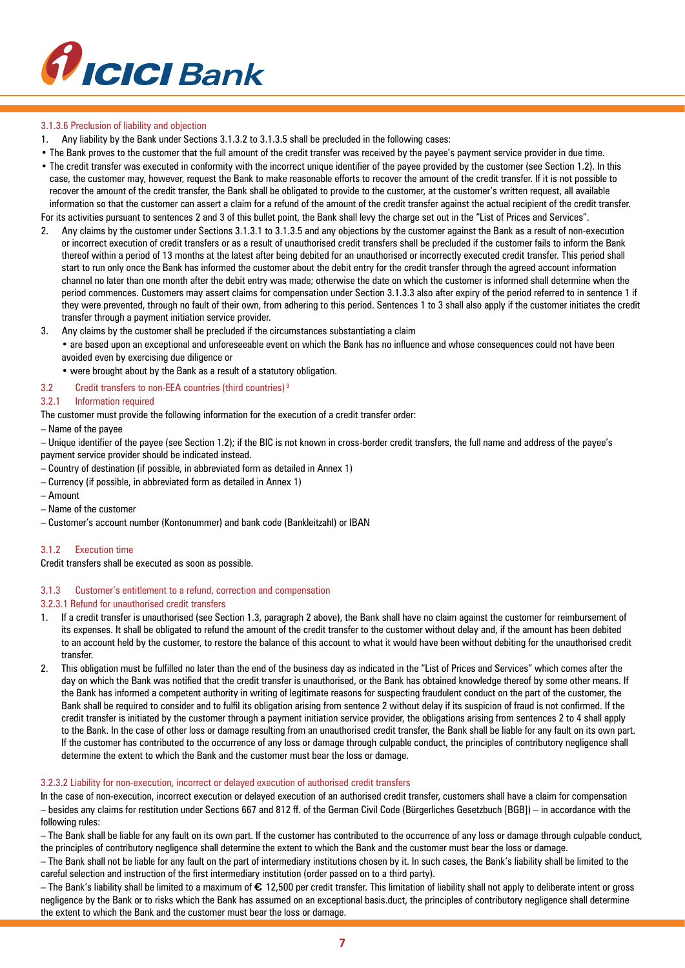

## 3.1.3.6 Preclusion of liability and objection

- 1. Any liability by the Bank under Sections 3.1.3.2 to 3.1.3.5 shall be precluded in the following cases:
- The Bank proves to the customer that the full amount of the credit transfer was received by the payee's payment service provider in due time.
- The credit transfer was executed in conformity with the incorrect unique identifier of the payee provided by the customer (see Section 1.2). In this case, the customer may, however, request the Bank to make reasonable efforts to recover the amount of the credit transfer. If it is not possible to recover the amount of the credit transfer, the Bank shall be obligated to provide to the customer, at the customer's written request, all available information so that the customer can assert a claim for a refund of the amount of the credit transfer against the actual recipient of the credit transfer.

For its activities pursuant to sentences 2 and 3 of this bullet point, the Bank shall levy the charge set out in the "List of Prices and Services".

- 2. Any claims by the customer under Sections 3.1.3.1 to 3.1.3.5 and any objections by the customer against the Bank as a result of non-execution or incorrect execution of credit transfers or as a result of unauthorised credit transfers shall be precluded if the customer fails to inform the Bank thereof within a period of 13 months at the latest after being debited for an unauthorised or incorrectly executed credit transfer. This period shall start to run only once the Bank has informed the customer about the debit entry for the credit transfer through the agreed account information channel no later than one month after the debit entry was made; otherwise the date on which the customer is informed shall determine when the period commences. Customers may assert claims for compensation under Section 3.1.3.3 also after expiry of the period referred to in sentence 1 if they were prevented, through no fault of their own, from adhering to this period. Sentences 1 to 3 shall also apply if the customer initiates the credit transfer through a payment initiation service provider.
- 3. Any claims by the customer shall be precluded if the circumstances substantiating a claim

• are based upon an exceptional and unforeseeable event on which the Bank has no influence and whose consequences could not have been avoided even by exercising due diligence or

- were brought about by the Bank as a result of a statutory obligation.
- 3.2 Credit transfers to non-EEA countries (third countries) 9

## 3.2.1 Information required

The customer must provide the following information for the execution of a credit transfer order:

– Name of the payee

– Unique identifier of the payee (see Section 1.2); if the BIC is not known in cross-border credit transfers, the full name and address of the payee's payment service provider should be indicated instead.

- Country of destination (if possible, in abbreviated form as detailed in Annex 1)
- Currency (if possible, in abbreviated form as detailed in Annex 1)
- Amount
- Name of the customer
- Customer's account number (Kontonummer) and bank code (Bankleitzahl) or IBAN

#### 3.1.2 Execution time

Credit transfers shall be executed as soon as possible.

#### 3.1.3 Customer's entitlement to a refund, correction and compensation

## 3.2.3.1 Refund for unauthorised credit transfers

- 1. If a credit transfer is unauthorised (see Section 1.3, paragraph 2 above), the Bank shall have no claim against the customer for reimbursement of its expenses. It shall be obligated to refund the amount of the credit transfer to the customer without delay and, if the amount has been debited to an account held by the customer, to restore the balance of this account to what it would have been without debiting for the unauthorised credit transfer.
- 2. This obligation must be fulfilled no later than the end of the business day as indicated in the "List of Prices and Services" which comes after the day on which the Bank was notified that the credit transfer is unauthorised, or the Bank has obtained knowledge thereof by some other means. If the Bank has informed a competent authority in writing of legitimate reasons for suspecting fraudulent conduct on the part of the customer, the Bank shall be required to consider and to fulfil its obligation arising from sentence 2 without delay if its suspicion of fraud is not confirmed. If the credit transfer is initiated by the customer through a payment initiation service provider, the obligations arising from sentences 2 to 4 shall apply to the Bank. In the case of other loss or damage resulting from an unauthorised credit transfer, the Bank shall be liable for any fault on its own part. If the customer has contributed to the occurrence of any loss or damage through culpable conduct, the principles of contributory negligence shall determine the extent to which the Bank and the customer must bear the loss or damage.

#### 3.2.3.2 Liability for non-execution, incorrect or delayed execution of authorised credit transfers

In the case of non-execution, incorrect execution or delayed execution of an authorised credit transfer, customers shall have a claim for compensation – besides any claims for restitution under Sections 667 and 812 ff. of the German Civil Code (Bürgerliches Gesetzbuch [BGB]) – in accordance with the following rules:

– The Bank shall be liable for any fault on its own part. If the customer has contributed to the occurrence of any loss or damage through culpable conduct, the principles of contributory negligence shall determine the extent to which the Bank and the customer must bear the loss or damage.

– The Bank shall not be liable for any fault on the part of intermediary institutions chosen by it. In such cases, the Bank's liability shall be limited to the careful selection and instruction of the first intermediary institution (order passed on to a third party).

– The Bank's liability shall be limited to a maximum of **€** 12,500 per credit transfer. This limitation of liability shall not apply to deliberate intent or gross negligence by the Bank or to risks which the Bank has assumed on an exceptional basis.duct, the principles of contributory negligence shall determine the extent to which the Bank and the customer must bear the loss or damage.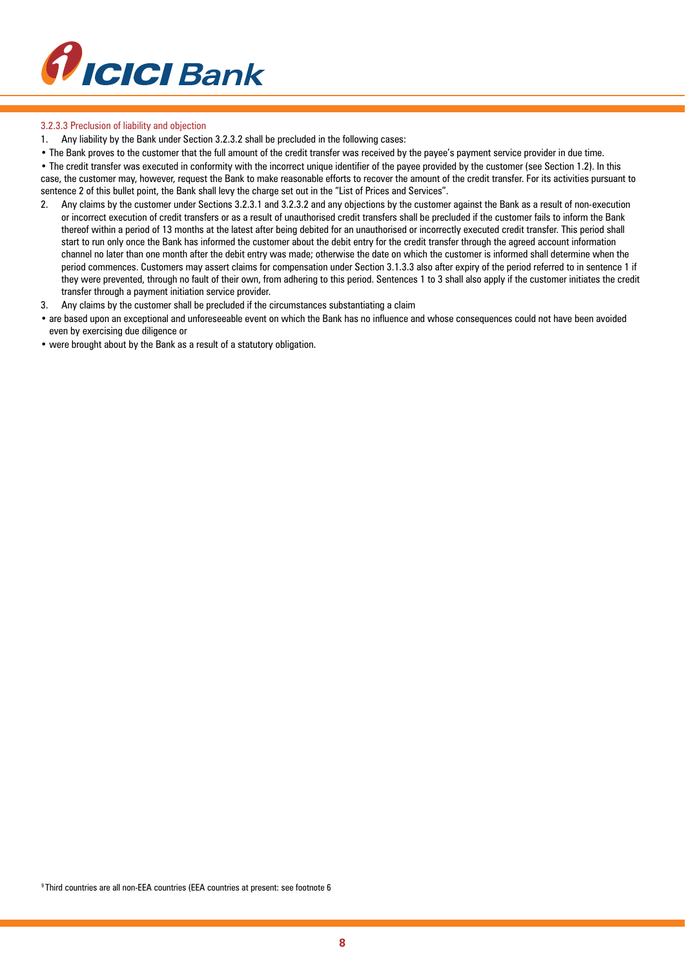

## 3.2.3.3 Preclusion of liability and objection

1. Any liability by the Bank under Section 3.2.3.2 shall be precluded in the following cases:

• The Bank proves to the customer that the full amount of the credit transfer was received by the payee's payment service provider in due time.

• The credit transfer was executed in conformity with the incorrect unique identifier of the payee provided by the customer (see Section 1.2). In this case, the customer may, however, request the Bank to make reasonable efforts to recover the amount of the credit transfer. For its activities pursuant to sentence 2 of this bullet point, the Bank shall levy the charge set out in the "List of Prices and Services".

- 2. Any claims by the customer under Sections 3.2.3.1 and 3.2.3.2 and any objections by the customer against the Bank as a result of non-execution or incorrect execution of credit transfers or as a result of unauthorised credit transfers shall be precluded if the customer fails to inform the Bank thereof within a period of 13 months at the latest after being debited for an unauthorised or incorrectly executed credit transfer. This period shall start to run only once the Bank has informed the customer about the debit entry for the credit transfer through the agreed account information channel no later than one month after the debit entry was made; otherwise the date on which the customer is informed shall determine when the period commences. Customers may assert claims for compensation under Section 3.1.3.3 also after expiry of the period referred to in sentence 1 if they were prevented, through no fault of their own, from adhering to this period. Sentences 1 to 3 shall also apply if the customer initiates the credit transfer through a payment initiation service provider.
- 3. Any claims by the customer shall be precluded if the circumstances substantiating a claim
- are based upon an exceptional and unforeseeable event on which the Bank has no influence and whose consequences could not have been avoided even by exercising due diligence or
- were brought about by the Bank as a result of a statutory obligation.